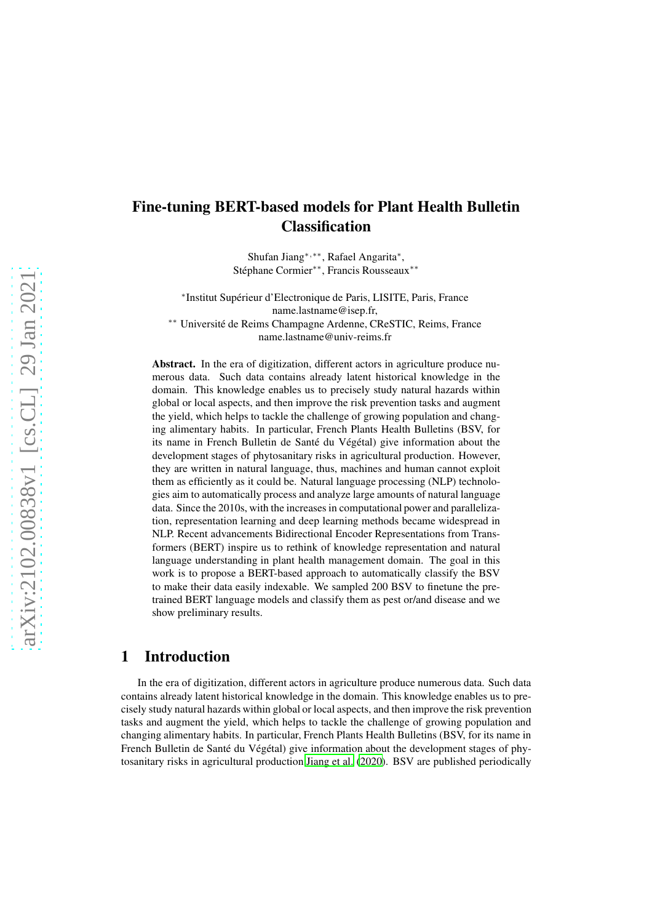# Fine-tuning BERT-based models for Plant Health Bulletin **Classification**

Shufan Jiang∗,∗∗, Rafael Angarita<sup>∗</sup> , Stéphane Cormier∗∗, Francis Rousseaux∗∗

∗ Institut Supérieur d'Electronique de Paris, LISITE, Paris, France name.lastname@isep.fr,

∗∗ Université de Reims Champagne Ardenne, CReSTIC, Reims, France name.lastname@univ-reims.fr

Abstract. In the era of digitization, different actors in agriculture produce numerous data. Such data contains already latent historical knowledge in the domain. This knowledge enables us to precisely study natural hazards within global or local aspects, and then improve the risk prevention tasks and augment the yield, which helps to tackle the challenge of growing population and changing alimentary habits. In particular, French Plants Health Bulletins (BSV, for its name in French Bulletin de Santé du Végétal) give information about the development stages of phytosanitary risks in agricultural production. However, they are written in natural language, thus, machines and human cannot exploit them as efficiently as it could be. Natural language processing (NLP) technologies aim to automatically process and analyze large amounts of natural language data. Since the 2010s, with the increases in computational power and parallelization, representation learning and deep learning methods became widespread in NLP. Recent advancements Bidirectional Encoder Representations from Transformers (BERT) inspire us to rethink of knowledge representation and natural language understanding in plant health management domain. The goal in this work is to propose a BERT-based approach to automatically classify the BSV to make their data easily indexable. We sampled 200 BSV to finetune the pretrained BERT language models and classify them as pest or/and disease and we show preliminary results.

### 1 Introduction

In the era of digitization, different actors in agriculture produce numerous data. Such data contains already latent historical knowledge in the domain. This knowledge enables us to precisely study natural hazards within global or local aspects, and then improve the risk prevention tasks and augment the yield, which helps to tackle the challenge of growing population and changing alimentary habits. In particular, French Plants Health Bulletins (BSV, for its name in French Bulletin de Santé du Végétal) give information about the development stages of phytosanitary risks in agricultural production [Jiang et al.](#page-5-0) [\(2020\)](#page-5-0). BSV are published periodically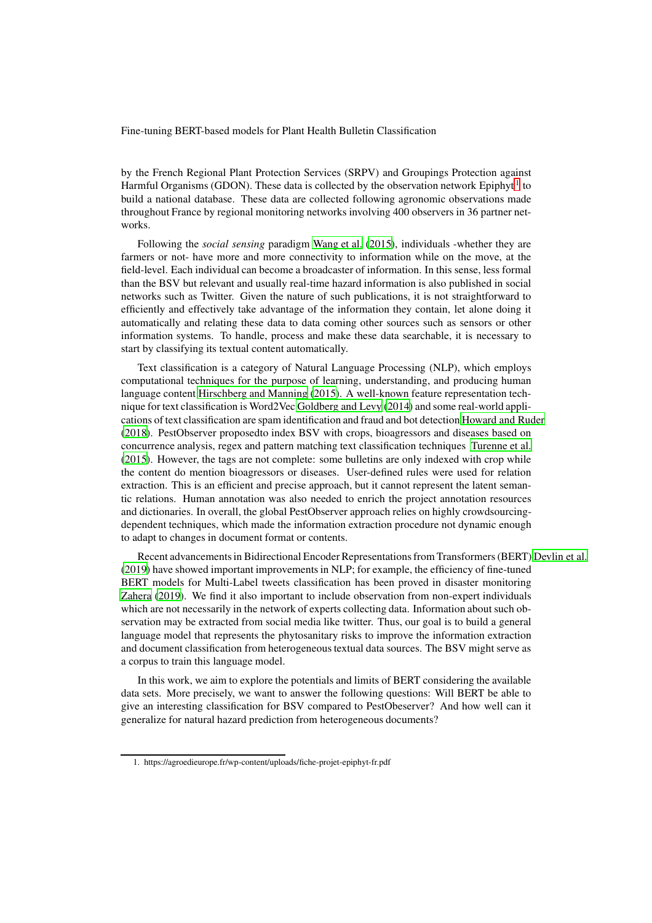Fine-tuning BERT-based models for Plant Health Bulletin Classification

by the French Regional Plant Protection Services (SRPV) and Groupings Protection against Harmful Organisms (GDON). These data is collected by the observation network Epiphyt<sup>[1](#page-1-0)</sup> to build a national database. These data are collected following agronomic observations made throughout France by regional monitoring networks involving 400 observers in 36 partner networks.

Following the *social sensing* paradigm [Wang et al. \(2015](#page-5-1)), individuals -whether they are farmers or not- have more and more connectivity to information while on the move, at the field-level. Each individual can become a broadcaster of information. In this sense, less formal than the BSV but relevant and usually real-time hazard information is also published in social networks such as Twitter. Given the nature of such publications, it is not straightforward to efficiently and effectively take advantage of the information they contain, let alone doing it automatically and relating these data to data coming other sources such as sensors or other information systems. To handle, process and make these data searchable, it is necessary to start by classifying its textual content automatically.

Text classification is a category of Natural Language Processing (NLP), which employs computational techniques for the purpose of learning, understanding, and producing human language content [Hirschberg and Manning](#page-5-2) [\(2015\)](#page-5-2). A well-known feature representation technique for text classification is Word2Vec [Goldberg and Levy](#page-5-3) [\(2014\)](#page-5-3) and some real-world applications of text classification are spam identification and fraud and bot detection [Howard and Ruder](#page-5-4) [\(2018\)](#page-5-4). PestObserver proposedto index BSV with crops, bioagressors and diseases based on concurrence analysis, regex and pattern matching text classification techniques [Turenne et al.](#page-5-5) [\(2015\)](#page-5-5). However, the tags are not complete: some bulletins are only indexed with crop while the content do mention bioagressors or diseases. User-defined rules were used for relation extraction. This is an efficient and precise approach, but it cannot represent the latent semantic relations. Human annotation was also needed to enrich the project annotation resources and dictionaries. In overall, the global PestObserver approach relies on highly crowdsourcingdependent techniques, which made the information extraction procedure not dynamic enough to adapt to changes in document format or contents.

Recent advancements in Bidirectional Encoder Representations from Transformers (BERT) [Devlin et al.](#page-4-0) [\(2019\)](#page-4-0) have showed important improvements in NLP; for example, the efficiency of fine-tuned BERT models for Multi-Label tweets classification has been proved in disaster monitoring [Zahera](#page-5-6) [\(2019\)](#page-5-6). We find it also important to include observation from non-expert individuals which are not necessarily in the network of experts collecting data. Information about such observation may be extracted from social media like twitter. Thus, our goal is to build a general language model that represents the phytosanitary risks to improve the information extraction and document classification from heterogeneous textual data sources. The BSV might serve as a corpus to train this language model.

In this work, we aim to explore the potentials and limits of BERT considering the available data sets. More precisely, we want to answer the following questions: Will BERT be able to give an interesting classification for BSV compared to PestObeserver? And how well can it generalize for natural hazard prediction from heterogeneous documents?

<span id="page-1-0"></span><sup>1.</sup> https://agroedieurope.fr/wp-content/uploads/fiche-projet-epiphyt-fr.pdf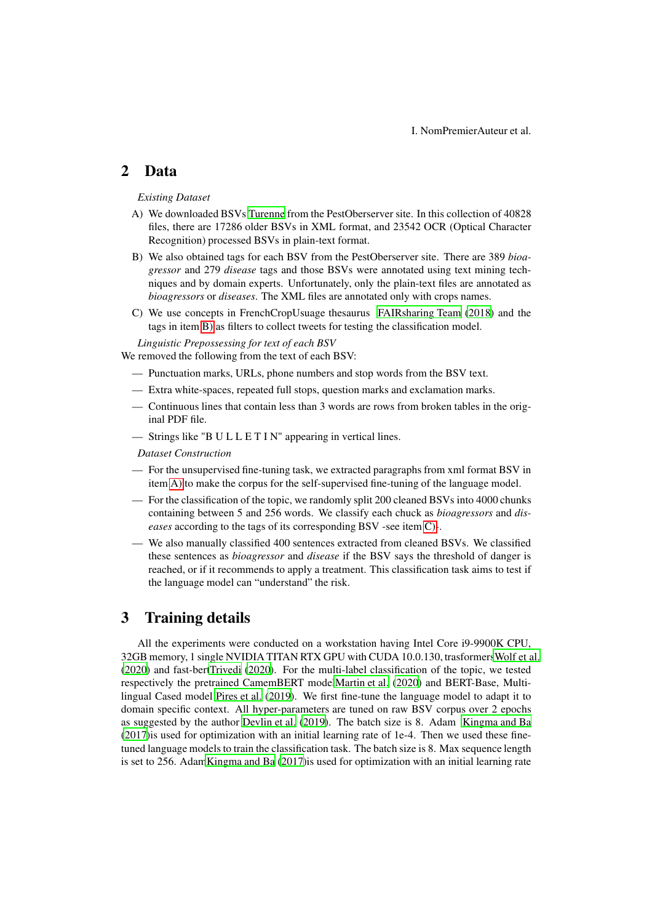### 2 Data

### <span id="page-2-1"></span>*Existing Dataset*

- A) We downloaded BSVs [Turenne](#page-5-7) from the PestOberserver site. In this collection of 40828 files, there are 17286 older BSVs in XML format, and 23542 OCR (Optical Character Recognition) processed BSVs in plain-text format.
- <span id="page-2-0"></span>B) We also obtained tags for each BSV from the PestOberserver site. There are 389 *bioagressor* and 279 *disease* tags and those BSVs were annotated using text mining techniques and by domain experts. Unfortunately, only the plain-text files are annotated as *bioagressors* or *diseases*. The XML files are annotated only with crops names.
- <span id="page-2-2"></span>C) We use concepts in FrenchCropUsuage thesaurus FAIRsharing Team (2018) and the tags in item [B\)](#page-2-0) as filters to collect tweets for testing the classification model.

*Linguistic Prepossessing for text of each BSV* We removed the following from the text of each BSV:

- Punctuation marks, URLs, phone numbers and stop words from the BSV text.
- Extra white-spaces, repeated full stops, question marks and exclamation marks.
- Continuous lines that contain less than 3 words are rows from broken tables in the original PDF file.
- Strings like "B U L L E T I N" appearing in vertical lines.

#### *Dataset Construction*

- For the unsupervised fine-tuning task, we extracted paragraphs from xml format BSV in item [A\)](#page-2-1) to make the corpus for the self-supervised fine-tuning of the language model.
- For the classification of the topic, we randomly split 200 cleaned BSVs into 4000 chunks containing between 5 and 256 words. We classify each chuck as *bioagressors* and *diseases* according to the tags of its corresponding BSV -see item [C\)-](#page-2-2).
- We also manually classified 400 sentences extracted from cleaned BSVs. We classified these sentences as *bioagressor* and *disease* if the BSV says the threshold of danger is reached, or if it recommends to apply a treatment. This classification task aims to test if the language model can "understand" the risk.

## 3 Training details

All the experiments were conducted on a workstation having Intel Core i9-9900K CPU, 32GB memory, 1 single NVIDIA TITAN RTX GPU with CUDA 10.0.130, trasformer[sWolf et al.](#page-5-8) [\(2020\)](#page-5-8) and fast-ber[tTrivedi](#page-5-9) [\(2020\)](#page-5-9). For the multi-label classification of the topic, we tested respectively the pretrained CamemBERT mode[lMartin et al.](#page-5-10) [\(2020\)](#page-5-10) and BERT-Base, Multilingual Cased model [Pires et al. \(2019\)](#page-5-11). We first fine-tune the language model to adapt it to domain specific context. All hyper-parameters are tuned on raw BSV corpus over 2 epochs as suggested by the author [Devlin et al.](#page-4-0) [\(2019\)](#page-4-0). The batch size is 8. Adam [Kingma and Ba](#page-5-12) [\(2017\)](#page-5-12)is used for optimization with an initial learning rate of 1e-4. Then we used these finetuned language models to train the classification task. The batch size is 8. Max sequence length is set to 256. Ada[mKingma and Ba](#page-5-12) [\(2017\)](#page-5-12)is used for optimization with an initial learning rate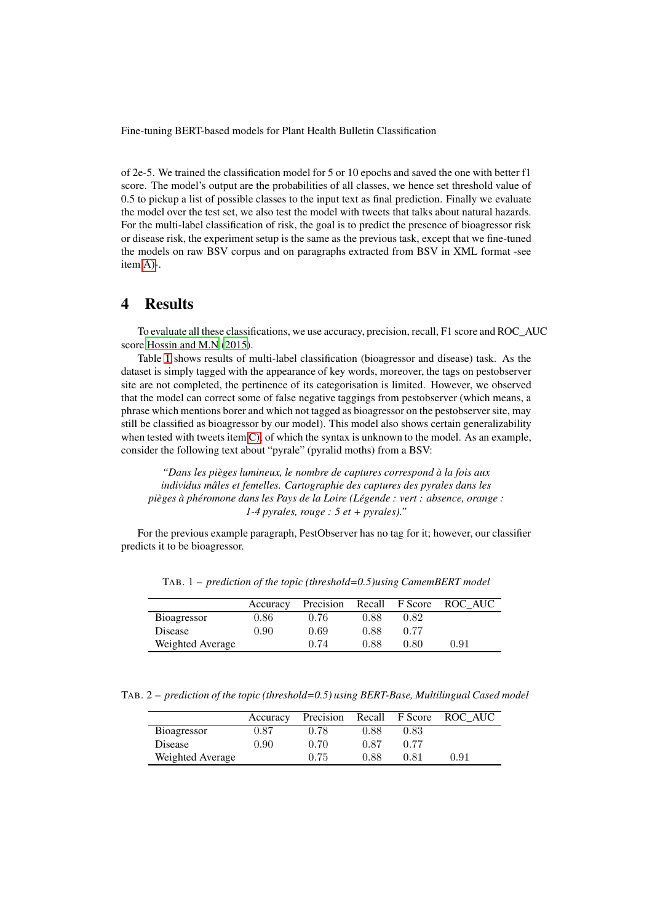Fine-tuning BERT-based models for Plant Health Bulletin Classification

of 2e-5. We trained the classification model for 5 or 10 epochs and saved the one with better f1 score. The model's output are the probabilities of all classes, we hence set threshold value of 0.5 to pickup a list of possible classes to the input text as final prediction. Finally we evaluate the model over the test set, we also test the model with tweets that talks about natural hazards. For the multi-label classification of risk, the goal is to predict the presence of bioagressor risk or disease risk, the experiment setup is the same as the previous task, except that we fine-tuned the models on raw BSV corpus and on paragraphs extracted from BSV in XML format -see item [A\)-](#page-2-1).

### 4 Results

To evaluate all these classifications, we use accuracy, precision, recall, F1 score and ROC\_AUC score [Hossin and M.N \(2015\)](#page-5-13).

Table [1](#page-3-0) shows results of multi-label classification (bioagressor and disease) task. As the dataset is simply tagged with the appearance of key words, moreover, the tags on pestobserver site are not completed, the pertinence of its categorisation is limited. However, we observed that the model can correct some of false negative taggings from pestobserver (which means, a phrase which mentions borer and which not tagged as bioagressor on the pestobserver site, may still be classified as bioagressor by our model). This model also shows certain generalizability when tested with tweets item [C\),](#page-2-2) of which the syntax is unknown to the model. As an example, consider the following text about "pyrale" (pyralid moths) from a BSV:

*"Dans les pièges lumineux, le nombre de captures correspond à la fois aux individus mâles et femelles. Cartographie des captures des pyrales dans les pièges à phéromone dans les Pays de la Loire (Légende : vert : absence, orange : 1-4 pyrales, rouge : 5 et + pyrales)."*

For the previous example paragraph, PestObserver has no tag for it; however, our classifier predicts it to be bioagressor.

|                  | Accuracy | Precision | Recall | F Score | ROC AUC |
|------------------|----------|-----------|--------|---------|---------|
| Bioagressor      | $0.86\,$ | 0.76      | 0.88   | 0.82    |         |
| Disease          | 0.90     | 0.69      | 0.88   | 0.77    |         |
| Weighted Average |          | 0.74      | 0.88   | 0.80    | 0.91    |

<span id="page-3-0"></span>TAB. 1 – *prediction of the topic (threshold=0.5)using CamemBERT model*

TAB. 2 – *prediction of the topic (threshold=0.5) using BERT-Base, Multilingual Cased model*

<span id="page-3-1"></span>

|                  | Accuracy |      |      |      | Precision Recall F Score ROC AUC |
|------------------|----------|------|------|------|----------------------------------|
| Bioagressor      | 0.87     | 0.78 | 0.88 | 0.83 |                                  |
| Disease          | 0.90     | 0.70 | 0.87 | 0.77 |                                  |
| Weighted Average |          | 0.75 | 0.88 | า 81 | 0.91                             |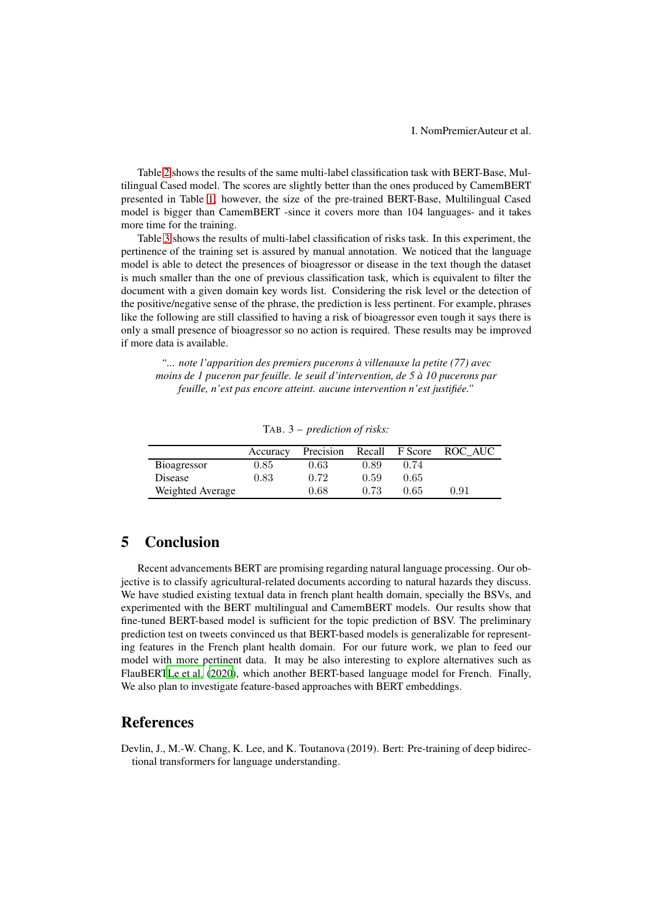I. NomPremierAuteur et al.

Table [2](#page-3-1) shows the results of the same multi-label classification task with BERT-Base, Multilingual Cased model. The scores are slightly better than the ones produced by CamemBERT presented in Table [1;](#page-3-0) however, the size of the pre-trained BERT-Base, Multilingual Cased model is bigger than CamemBERT -since it covers more than 104 languages- and it takes more time for the training.

Table [3](#page-4-1) shows the results of multi-label classification of risks task. In this experiment, the pertinence of the training set is assured by manual annotation. We noticed that the language model is able to detect the presences of bioagressor or disease in the text though the dataset is much smaller than the one of previous classification task, which is equivalent to filter the document with a given domain key words list. Considering the risk level or the detection of the positive/negative sense of the phrase, the prediction is less pertinent. For example, phrases like the following are still classified to having a risk of bioagressor even tough it says there is only a small presence of bioagressor so no action is required. These results may be improved if more data is available.

*"... note l'apparition des premiers pucerons à villenauxe la petite (77) avec moins de 1 puceron par feuille. le seuil d'intervention, de 5 à 10 pucerons par feuille, n'est pas encore atteint. aucune intervention n'est justifiée."*

|                  | Accuracy   | Precision |      | Recall F Score | ROC AUC |
|------------------|------------|-----------|------|----------------|---------|
| Bioagressor      | $\rm 0.85$ | 0.63      | 0.89 | 0.74           |         |
| Disease          | 0.83       | 0.72      | 0.59 | 0.65           |         |
| Weighted Average |            | 0.68      | 0.73 | 0.65           | 0.91    |

<span id="page-4-1"></span>TAB. 3 – *prediction of risks:*

### 5 Conclusion

Recent advancements BERT are promising regarding natural language processing. Our objective is to classify agricultural-related documents according to natural hazards they discuss. We have studied existing textual data in french plant health domain, specially the BSVs, and experimented with the BERT multilingual and CamemBERT models. Our results show that fine-tuned BERT-based model is sufficient for the topic prediction of BSV. The preliminary prediction test on tweets convinced us that BERT-based models is generalizable for representing features in the French plant health domain. For our future work, we plan to feed our model with more pertinent data. It may be also interesting to explore alternatives such as FlauBER[TLe et al. \(2020](#page-5-14)), which another BERT-based language model for French. Finally, We also plan to investigate feature-based approaches with BERT embeddings.

## References

<span id="page-4-0"></span>Devlin, J., M.-W. Chang, K. Lee, and K. Toutanova (2019). Bert: Pre-training of deep bidirectional transformers for language understanding.